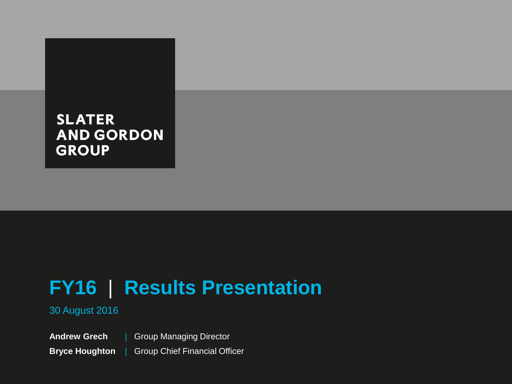# **FY16** | **Results Presentation**

### 30 August 2016

**Andrew Grech Bryce Houghton** | Group Managing Director | Group Chief Financial Officer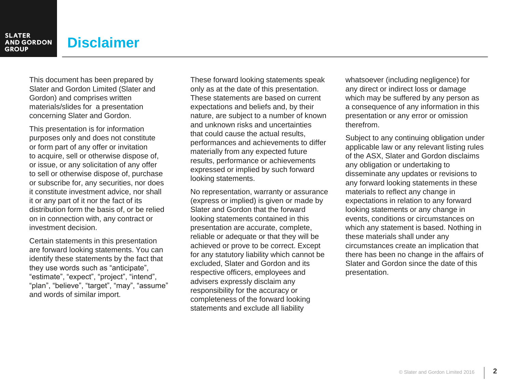# **Disclaimer**

This document has been prepared by Slater and Gordon Limited (Slater and Gordon) and comprises written materials/slides for a presentation concerning Slater and Gordon.

This presentation is for information purposes only and does not constitute or form part of any offer or invitation to acquire, sell or otherwise dispose of, or issue, or any solicitation of any offer to sell or otherwise dispose of, purchase or subscribe for, any securities, nor does it constitute investment advice, nor shall it or any part of it nor the fact of its distribution form the basis of, or be relied on in connection with, any contract or investment decision.

Certain statements in this presentation are forward looking statements. You can identify these statements by the fact that they use words such as "anticipate", "estimate", "expect", "project", "intend", "plan", "believe", "target", "may", "assume" and words of similar import.

These forward looking statements speak only as at the date of this presentation. These statements are based on current expectations and beliefs and, by their nature, are subject to a number of known and unknown risks and uncertainties that could cause the actual results, performances and achievements to differ materially from any expected future results, performance or achievements expressed or implied by such forward looking statements.

No representation, warranty or assurance (express or implied) is given or made by Slater and Gordon that the forward looking statements contained in this presentation are accurate, complete, reliable or adequate or that they will be achieved or prove to be correct. Except for any statutory liability which cannot be excluded, Slater and Gordon and its respective officers, employees and advisers expressly disclaim any responsibility for the accuracy or completeness of the forward looking statements and exclude all liability

whatsoever (including negligence) for any direct or indirect loss or damage which may be suffered by any person as a consequence of any information in this presentation or any error or omission therefrom.

Subject to any continuing obligation under applicable law or any relevant listing rules of the ASX, Slater and Gordon disclaims any obligation or undertaking to disseminate any updates or revisions to any forward looking statements in these materials to reflect any change in expectations in relation to any forward looking statements or any change in events, conditions or circumstances on which any statement is based. Nothing in these materials shall under any circumstances create an implication that there has been no change in the affairs of Slater and Gordon since the date of this presentation.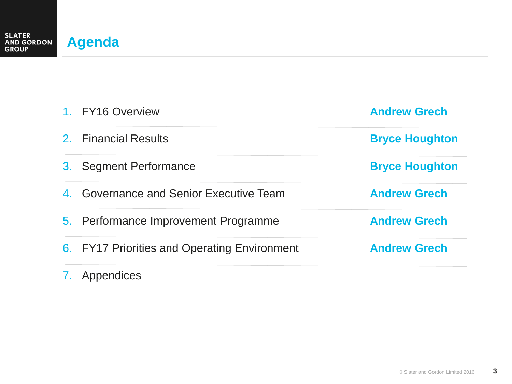|    | 1. FY16 Overview                             | <b>Andrew Grech</b>   |
|----|----------------------------------------------|-----------------------|
|    | 2. Financial Results                         | <b>Bryce Houghton</b> |
| 3. | <b>Segment Performance</b>                   | <b>Bryce Houghton</b> |
| 4. | <b>Governance and Senior Executive Team</b>  | <b>Andrew Grech</b>   |
|    | 5. Performance Improvement Programme         | <b>Andrew Grech</b>   |
|    | 6. FY17 Priorities and Operating Environment | <b>Andrew Grech</b>   |
|    |                                              |                       |

## 7. Appendices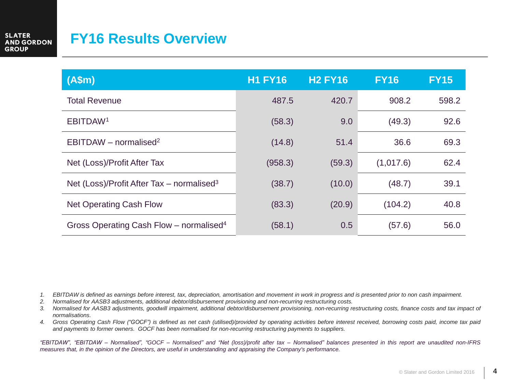# **FY16 Results Overview**

| (A\$m)                                                | <b>H1 FY16</b> | <b>H2 FY16</b> | <b>FY16</b> | <b>FY15</b> |
|-------------------------------------------------------|----------------|----------------|-------------|-------------|
| <b>Total Revenue</b>                                  | 487.5          | 420.7          | 908.2       | 598.2       |
| EBITDAW <sup>1</sup>                                  | (58.3)         | 9.0            | (49.3)      | 92.6        |
| EBITDAW - normalised <sup>2</sup>                     | (14.8)         | 51.4           | 36.6        | 69.3        |
| Net (Loss)/Profit After Tax                           | (958.3)        | (59.3)         | (1,017.6)   | 62.4        |
| Net (Loss)/Profit After Tax – normalised <sup>3</sup> | (38.7)         | (10.0)         | (48.7)      | 39.1        |
| <b>Net Operating Cash Flow</b>                        | (83.3)         | (20.9)         | (104.2)     | 40.8        |
| Gross Operating Cash Flow - normalised <sup>4</sup>   | (58.1)         | 0.5            | (57.6)      | 56.0        |

- 1. EBITDAW is defined as earnings before interest, tax, depreciation, amortisation and movement in work in progress and is presented prior to non cash impairment.
- *2. Normalised for AASB3 adjustments, additional debtor/disbursement provisioning and non-recurring restructuring costs.*
- 3. Normalised for AASB3 adjustments, goodwill impairment, additional debtor/disbursement provisioning, non-recurring restructuring costs, finance costs and tax impact of *normalisations.*
- 4. Gross Operating Cash Flow ("GOCF") is defined as net cash (utilised)/provided by operating activities before interest received, borrowing costs paid, income tax paid *and payments to former owners. GOCF has been normalised for non-recurring restructuring payments to suppliers.*

"EBITDAW", "EBITDAW - Normalised", "GOCF - Normalised" and "Net (loss)/profit after tax - Normalised" balances presented in this report are unaudited non-IFRS measures that, in the opinion of the Directors, are useful in understanding and appraising the Company's performance.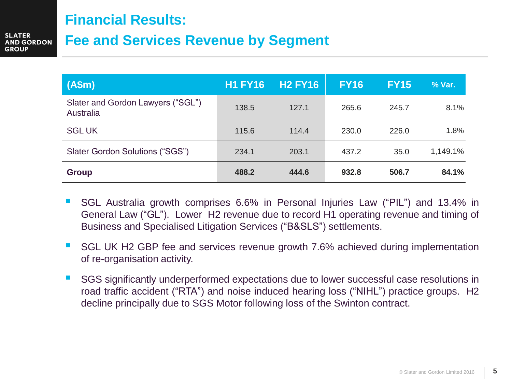## **Financial Results:**

# **Fee and Services Revenue by Segment**

| (A\$m)                                         | <b>H1 FY16</b> | <b>H2 FY16</b> | <b>FY16</b> | <b>FY15</b> | % Var.   |
|------------------------------------------------|----------------|----------------|-------------|-------------|----------|
| Slater and Gordon Lawyers ("SGL")<br>Australia | 138.5          | 127.1          | 265.6       | 245.7       | 8.1%     |
| <b>SGLUK</b>                                   | 115.6          | 114.4          | 230.0       | 226.0       | 1.8%     |
| Slater Gordon Solutions ("SGS")                | 234.1          | 203.1          | 437.2       | 35.0        | 1,149.1% |
| <b>Group</b>                                   | 488.2          | 444.6          | 932.8       | 506.7       | 84.1%    |

- SGL Australia growth comprises 6.6% in Personal Injuries Law ("PIL") and 13.4% in General Law ("GL"). Lower H2 revenue due to record H1 operating revenue and timing of Business and Specialised Litigation Services ("B&SLS") settlements.
- SGL UK H2 GBP fee and services revenue growth 7.6% achieved during implementation of re-organisation activity.
- SGS significantly underperformed expectations due to lower successful case resolutions in road traffic accident ("RTA") and noise induced hearing loss ("NIHL") practice groups. H2 decline principally due to SGS Motor following loss of the Swinton contract.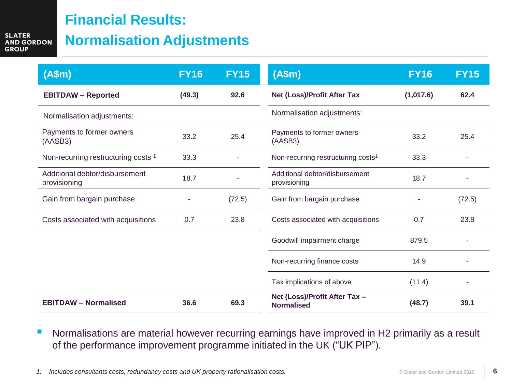# **Financial Results:**

**SLATER AND GORDON GROUP** 

# **Normalisation Adjustments**

| (A\$m)                                         | <b>FY16</b> | <b>FY15</b> | (A\$m)                                             | <b>FY16</b> | <b>FY15</b> |
|------------------------------------------------|-------------|-------------|----------------------------------------------------|-------------|-------------|
| <b>EBITDAW - Reported</b>                      | (49.3)      | 92.6        | Net (Loss)/Profit After Tax                        | (1,017.6)   | 62.4        |
| Normalisation adjustments:                     |             |             | Normalisation adjustments:                         |             |             |
| Payments to former owners<br>(AASB3)           | 33.2        | 25.4        | Payments to former owners<br>(AASB3)               | 33.2        | 25.4        |
| Non-recurring restructuring costs <sup>1</sup> | 33.3        |             | Non-recurring restructuring costs <sup>1</sup>     | 33.3        |             |
| Additional debtor/disbursement<br>provisioning | 18.7        |             | Additional debtor/disbursement<br>provisioning     | 18.7        |             |
| Gain from bargain purchase                     |             | (72.5)      | Gain from bargain purchase                         |             | (72.5)      |
| Costs associated with acquisitions             | 0.7         | 23.8        | Costs associated with acquisitions                 | 0.7         | 23.8        |
|                                                |             |             | Goodwill impairment charge                         | 879.5       |             |
|                                                |             |             | Non-recurring finance costs                        | 14.9        |             |
|                                                |             |             | Tax implications of above                          | (11.4)      |             |
| <b>EBITDAW - Normalised</b>                    | 36.6        | 69.3        | Net (Loss)/Profit After Tax -<br><b>Normalised</b> | (48.7)      | 39.1        |

**Normalisations are material however recurring earnings have improved in H2 primarily as a result** of the performance improvement programme initiated in the UK ("UK PIP").

*1. Includes consultants costs, redundancy costs and UK property rationalisation costs.*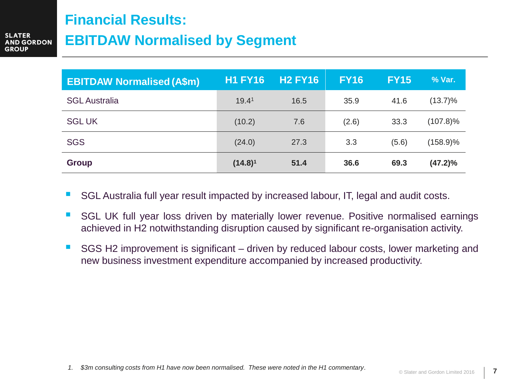# **Financial Results:**

# **EBITDAW Normalised by Segment**

| <b>EBITDAW Normalised (A\$m)</b> | <b>H1 FY16</b>    | <b>H2 FY16</b> | <b>FY16</b> | <b>FY15</b> | % Var.      |
|----------------------------------|-------------------|----------------|-------------|-------------|-------------|
| <b>SGL</b> Australia             | 19.4 <sup>1</sup> | 16.5           | 35.9        | 41.6        | $(13.7)\%$  |
| <b>SGLUK</b>                     | (10.2)            | 7.6            | (2.6)       | 33.3        | $(107.8)\%$ |
| <b>SGS</b>                       | (24.0)            | 27.3           | 3.3         | (5.6)       | $(158.9)\%$ |
| <b>Group</b>                     | $(14.8)^1$        | 51.4           | 36.6        | 69.3        | $(47.2)\%$  |

- SGL Australia full year result impacted by increased labour, IT, legal and audit costs.
- **SGL UK full year loss driven by materially lower revenue. Positive normalised earnings** achieved in H2 notwithstanding disruption caused by significant re-organisation activity.
- SGS H2 improvement is significant driven by reduced labour costs, lower marketing and new business investment expenditure accompanied by increased productivity.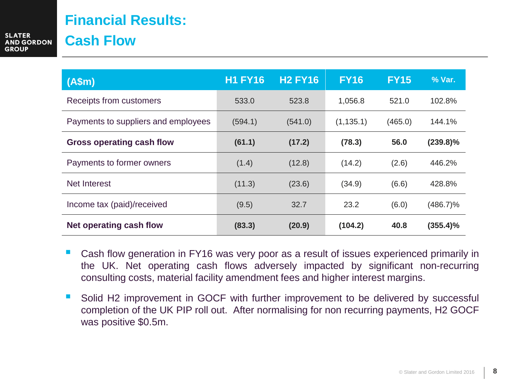# **Financial Results: Cash Flow**

| (A\$m)                              | <b>H1 FY16</b> | <b>H2 FY16</b> | <b>FY16</b> | <b>FY15</b> | % Var.      |
|-------------------------------------|----------------|----------------|-------------|-------------|-------------|
| Receipts from customers             | 533.0          | 523.8          | 1,056.8     | 521.0       | 102.8%      |
| Payments to suppliers and employees | (594.1)        | (541.0)        | (1, 135.1)  | (465.0)     | 144.1%      |
| <b>Gross operating cash flow</b>    | (61.1)         | (17.2)         | (78.3)      | 56.0        | $(239.8)\%$ |
| Payments to former owners           | (1.4)          | (12.8)         | (14.2)      | (2.6)       | 446.2%      |
| Net Interest                        | (11.3)         | (23.6)         | (34.9)      | (6.6)       | 428.8%      |
| Income tax (paid)/received          | (9.5)          | 32.7           | 23.2        | (6.0)       | (486.7)%    |
| Net operating cash flow             | (83.3)         | (20.9)         | (104.2)     | 40.8        | $(355.4)\%$ |

- Cash flow generation in FY16 was very poor as a result of issues experienced primarily in the UK. Net operating cash flows adversely impacted by significant non-recurring consulting costs, material facility amendment fees and higher interest margins.
- Solid H2 improvement in GOCF with further improvement to be delivered by successful completion of the UK PIP roll out. After normalising for non recurring payments, H2 GOCF was positive \$0.5m.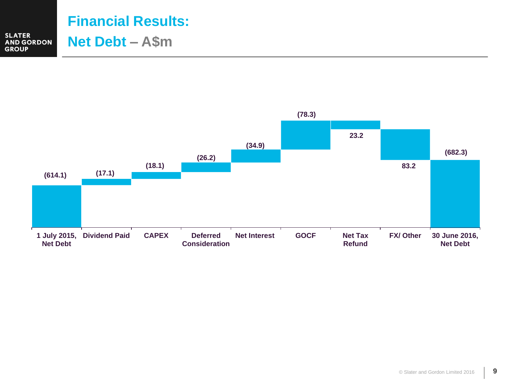

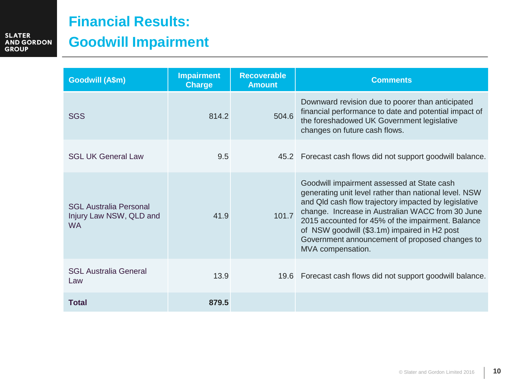# **Financial Results:**

# **Goodwill Impairment**

| <b>Goodwill (A\$m)</b>                                                | <b>Impairment</b><br><b>Charge</b> | <b>Recoverable</b><br><b>Amount</b> | <b>Comments</b>                                                                                                                                                                                                                                                                                                                                                                             |
|-----------------------------------------------------------------------|------------------------------------|-------------------------------------|---------------------------------------------------------------------------------------------------------------------------------------------------------------------------------------------------------------------------------------------------------------------------------------------------------------------------------------------------------------------------------------------|
| <b>SGS</b>                                                            | 814.2                              | 504.6                               | Downward revision due to poorer than anticipated<br>financial performance to date and potential impact of<br>the foreshadowed UK Government legislative<br>changes on future cash flows.                                                                                                                                                                                                    |
| <b>SGL UK General Law</b>                                             | 9.5                                |                                     | 45.2 Forecast cash flows did not support goodwill balance.                                                                                                                                                                                                                                                                                                                                  |
| <b>SGL Australia Personal</b><br>Injury Law NSW, QLD and<br><b>WA</b> | 41.9                               | 101.7                               | Goodwill impairment assessed at State cash<br>generating unit level rather than national level. NSW<br>and Qld cash flow trajectory impacted by legislative<br>change. Increase in Australian WACC from 30 June<br>2015 accounted for 45% of the impairment. Balance<br>of NSW goodwill (\$3.1m) impaired in H2 post<br>Government announcement of proposed changes to<br>MVA compensation. |
| <b>SGL Australia General</b><br>Law                                   | 13.9                               |                                     | 19.6 Forecast cash flows did not support goodwill balance.                                                                                                                                                                                                                                                                                                                                  |
| <b>Total</b>                                                          | 879.5                              |                                     |                                                                                                                                                                                                                                                                                                                                                                                             |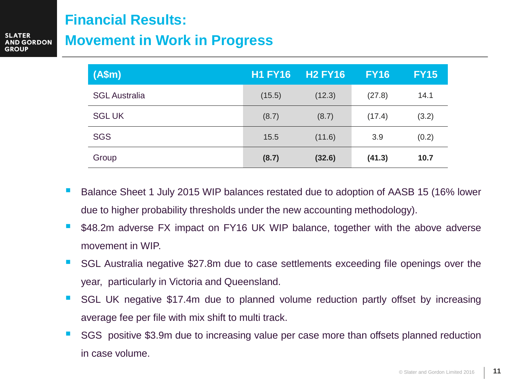## **Financial Results:**

**GORDON** 

# **Movement in Work in Progress**

| (A\$m)               | <b>H1 FY16</b> | <b>H2 FY16</b> | <b>FY16</b> | <b>FY15</b> |
|----------------------|----------------|----------------|-------------|-------------|
| <b>SGL Australia</b> | (15.5)         | (12.3)         | (27.8)      | 14.1        |
| <b>SGLUK</b>         | (8.7)          | (8.7)          | (17.4)      | (3.2)       |
| <b>SGS</b>           | 15.5           | (11.6)         | 3.9         | (0.2)       |
| Group                | (8.7)          | (32.6)         | (41.3)      | 10.7        |

- Balance Sheet 1 July 2015 WIP balances restated due to adoption of AASB 15 (16% lower due to higher probability thresholds under the new accounting methodology).
- \$48.2m adverse FX impact on FY16 UK WIP balance, together with the above adverse movement in WIP.
- SGL Australia negative \$27.8m due to case settlements exceeding file openings over the year, particularly in Victoria and Queensland.
- SGL UK negative \$17.4m due to planned volume reduction partly offset by increasing average fee per file with mix shift to multi track.
- SGS positive \$3.9m due to increasing value per case more than offsets planned reduction in case volume.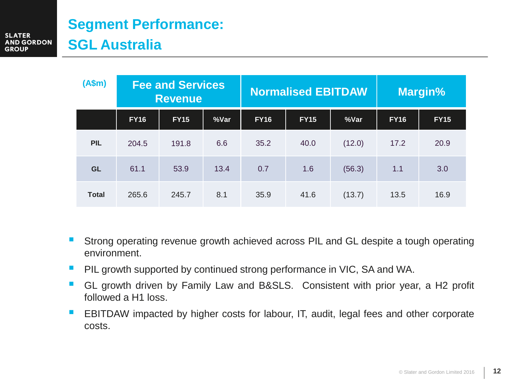# **Segment Performance: SGL Australia**

| (A\$m)       | <b>Fee and Services</b><br><b>Revenue</b> |             | <b>Normalised EBITDAW</b> |             |             | Margin% |             |             |
|--------------|-------------------------------------------|-------------|---------------------------|-------------|-------------|---------|-------------|-------------|
|              | <b>FY16</b>                               | <b>FY15</b> | %Var                      | <b>FY16</b> | <b>FY15</b> | %Var    | <b>FY16</b> | <b>FY15</b> |
| <b>PIL</b>   | 204.5                                     | 191.8       | 6.6                       | 35.2        | 40.0        | (12.0)  | 17.2        | 20.9        |
| <b>GL</b>    | 61.1                                      | 53.9        | 13.4                      | 0.7         | 1.6         | (56.3)  | 1.1         | 3.0         |
| <b>Total</b> | 265.6                                     | 245.7       | 8.1                       | 35.9        | 41.6        | (13.7)  | 13.5        | 16.9        |

- Strong operating revenue growth achieved across PIL and GL despite a tough operating environment.
- **PIL growth supported by continued strong performance in VIC, SA and WA.**
- GL growth driven by Family Law and B&SLS. Consistent with prior year, a H2 profit followed a H1 loss.
- **EBITDAW** impacted by higher costs for labour, IT, audit, legal fees and other corporate costs.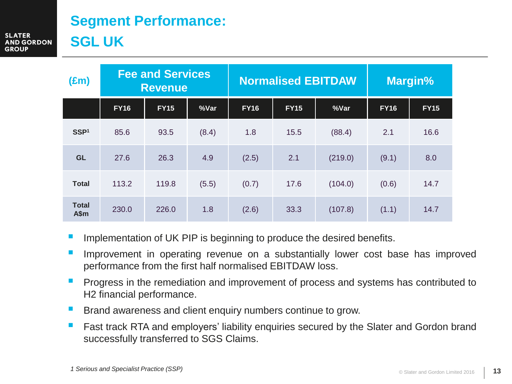# **Segment Performance: SGL UK**

**SLATER AND GORDON** 

**GROUP** 

| $(\text{Em})$        | <b>Fee and Services</b><br><b>Revenue</b> |             |       | <b>Normalised EBITDAW</b> |             |         | <b>Margin%</b> |             |
|----------------------|-------------------------------------------|-------------|-------|---------------------------|-------------|---------|----------------|-------------|
|                      | <b>FY16</b>                               | <b>FY15</b> | %Var  | <b>FY16</b>               | <b>FY15</b> | %Var    | <b>FY16</b>    | <b>FY15</b> |
| SSP <sup>1</sup>     | 85.6                                      | 93.5        | (8.4) | 1.8                       | 15.5        | (88.4)  | 2.1            | 16.6        |
| <b>GL</b>            | 27.6                                      | 26.3        | 4.9   | (2.5)                     | 2.1         | (219.0) | (9.1)          | 8.0         |
| <b>Total</b>         | 113.2                                     | 119.8       | (5.5) | (0.7)                     | 17.6        | (104.0) | (0.6)          | 14.7        |
| <b>Total</b><br>A\$m | 230.0                                     | 226.0       | 1.8   | (2.6)                     | 33.3        | (107.8) | (1.1)          | 14.7        |

- Implementation of UK PIP is beginning to produce the desired benefits.
- Improvement in operating revenue on a substantially lower cost base has improved performance from the first half normalised EBITDAW loss.
- **Progress in the remediation and improvement of process and systems has contributed to** H2 financial performance.
- Brand awareness and client enquiry numbers continue to grow.
- Fast track RTA and employers' liability enquiries secured by the Slater and Gordon brand successfully transferred to SGS Claims.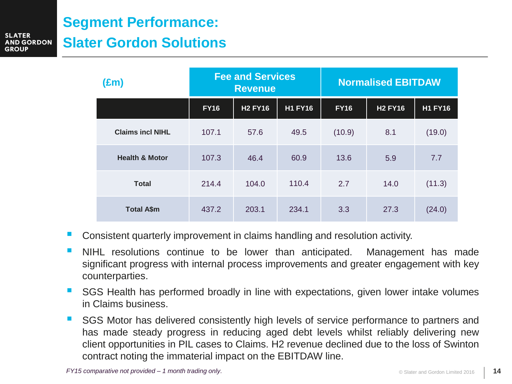# **Segment Performance: Slater Gordon Solutions**

**SLATER** 

**GROUP** 

**ND GORDON** 

| $(\text{Em})$             |             | <b>Fee and Services</b><br><b>Revenue</b> |                | <b>Normalised EBITDAW</b> |                |                |  |
|---------------------------|-------------|-------------------------------------------|----------------|---------------------------|----------------|----------------|--|
|                           | <b>FY16</b> | <b>H2 FY16</b>                            | <b>H1 FY16</b> | <b>FY16</b>               | <b>H2 FY16</b> | <b>H1 FY16</b> |  |
| <b>Claims incl NIHL</b>   | 107.1       | 57.6                                      | 49.5           | (10.9)                    | 8.1            | (19.0)         |  |
| <b>Health &amp; Motor</b> | 107.3       | 46.4                                      | 60.9           | 13.6                      | 5.9            | 7.7            |  |
| <b>Total</b>              | 214.4       | 104.0                                     | 110.4          | 2.7                       | 14.0           | (11.3)         |  |
| <b>Total A\$m</b>         | 437.2       | 203.1                                     | 234.1          | 3.3                       | 27.3           | (24.0)         |  |

- Consistent quarterly improvement in claims handling and resolution activity.
- NIHL resolutions continue to be lower than anticipated. Management has made significant progress with internal process improvements and greater engagement with key counterparties.
- SGS Health has performed broadly in line with expectations, given lower intake volumes in Claims business.
- SGS Motor has delivered consistently high levels of service performance to partners and has made steady progress in reducing aged debt levels whilst reliably delivering new client opportunities in PIL cases to Claims. H2 revenue declined due to the loss of Swinton contract noting the immaterial impact on the EBITDAW line.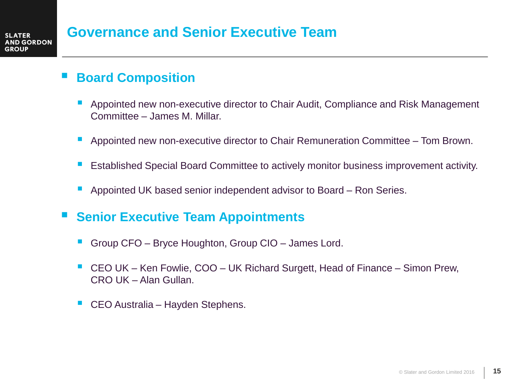## **Board Composition**

- Appointed new non-executive director to Chair Audit, Compliance and Risk Management Committee – James M. Millar.
- Appointed new non-executive director to Chair Remuneration Committee Tom Brown.
- Established Special Board Committee to actively monitor business improvement activity.
- Appointed UK based senior independent advisor to Board Ron Series.
- **Senior Executive Team Appointments** 
	- Group CFO Bryce Houghton, Group CIO James Lord.
	- CEO UK Ken Fowlie, COO UK Richard Surgett, Head of Finance Simon Prew, CRO UK – Alan Gullan.
	- CEO Australia Hayden Stephens.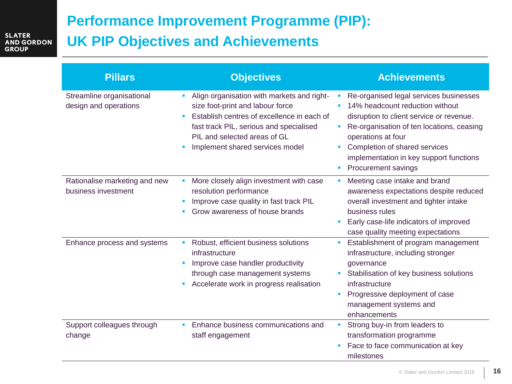# **Performance Improvement Programme (PIP): UK PIP Objectives and Achievements**

| <b>Pillars</b>                                       | <b>Objectives</b>                                                                                                                                                                                                                                    | <b>Achievements</b>                                                                                                                                                                                                                                                                                          |
|------------------------------------------------------|------------------------------------------------------------------------------------------------------------------------------------------------------------------------------------------------------------------------------------------------------|--------------------------------------------------------------------------------------------------------------------------------------------------------------------------------------------------------------------------------------------------------------------------------------------------------------|
| Streamline organisational<br>design and operations   | Align organisation with markets and right-<br>size foot-print and labour force<br>Establish centres of excellence in each of<br>п<br>fast track PIL, serious and specialised<br>PIL and selected areas of GL<br>Implement shared services model<br>× | Re-organised legal services businesses<br>14% headcount reduction without<br>disruption to client service or revenue.<br>Re-organisation of ten locations, ceasing<br>operations at four<br>Completion of shared services<br>ш<br>implementation in key support functions<br><b>Procurement savings</b><br>× |
| Rationalise marketing and new<br>business investment | More closely align investment with case<br>resolution performance<br>Improve case quality in fast track PIL<br>Grow awareness of house brands                                                                                                        | Meeting case intake and brand<br>ш<br>awareness expectations despite reduced<br>overall investment and tighter intake<br>business rules<br>Early case-life indicators of improved<br>$\blacksquare$<br>case quality meeting expectations                                                                     |
| Enhance process and systems                          | Robust, efficient business solutions<br>infrastructure<br>Improve case handler productivity<br>through case management systems<br>Accelerate work in progress realisation                                                                            | Establishment of program management<br>$\blacksquare$<br>infrastructure, including stronger<br>governance<br>Stabilisation of key business solutions<br>$\mathcal{L}_{\mathcal{A}}$<br>infrastructure<br>Progressive deployment of case<br>×<br>management systems and<br>enhancements                       |
| Support colleagues through<br>change                 | Enhance business communications and<br>staff engagement                                                                                                                                                                                              | Strong buy-in from leaders to<br>$\blacksquare$<br>transformation programme<br>Face to face communication at key<br>milestones                                                                                                                                                                               |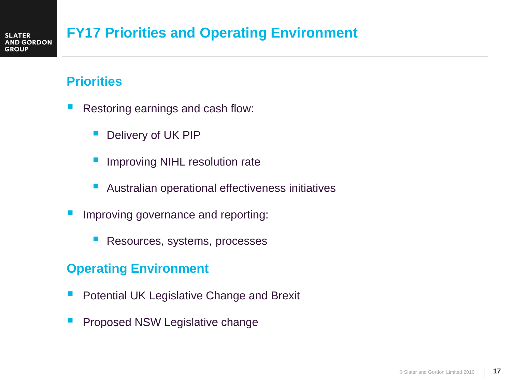# **FY17 Priorities and Operating Environment**

## **Priorities**

- Restoring earnings and cash flow:
	- Delivery of UK PIP
	- Improving NIHL resolution rate
	- Australian operational effectiveness initiatives
- Improving governance and reporting:
	- Resources, systems, processes

## **Operating Environment**

- Potential UK Legislative Change and Brexit
- Proposed NSW Legislative change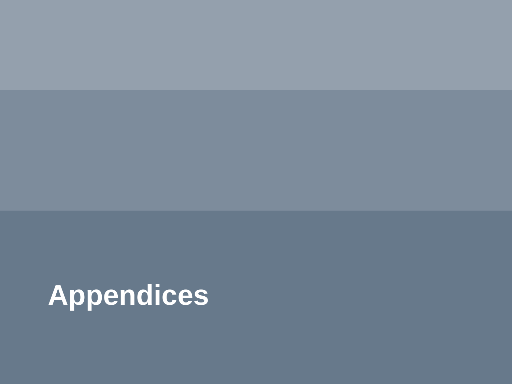# **Appendices**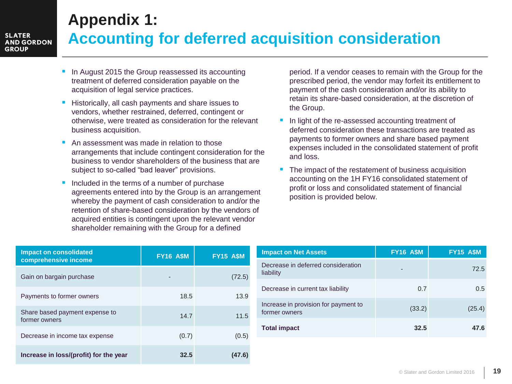# **Appendix 1: Accounting for deferred acquisition consideration**

- In August 2015 the Group reassessed its accounting treatment of deferred consideration payable on the acquisition of legal service practices.
- Historically, all cash payments and share issues to vendors, whether restrained, deferred, contingent or otherwise, were treated as consideration for the relevant business acquisition.
- An assessment was made in relation to those arrangements that include contingent consideration for the business to vendor shareholders of the business that are subject to so-called "bad leaver" provisions.
- Included in the terms of a number of purchase agreements entered into by the Group is an arrangement whereby the payment of cash consideration to and/or the retention of share-based consideration by the vendors of acquired entities is contingent upon the relevant vendor shareholder remaining with the Group for a defined

period. If a vendor ceases to remain with the Group for the prescribed period, the vendor may forfeit its entitlement to payment of the cash consideration and/or its ability to retain its share-based consideration, at the discretion of the Group.

- In light of the re-assessed accounting treatment of deferred consideration these transactions are treated as payments to former owners and share based payment expenses included in the consolidated statement of profit and loss.
- The impact of the restatement of business acquisition accounting on the 1H FY16 consolidated statement of profit or loss and consolidated statement of financial position is provided below.

| <b>Impact on consolidated</b><br>comprehensive income | <b>FY16 A\$M</b> | <b>FY15 ASM</b> |
|-------------------------------------------------------|------------------|-----------------|
| Gain on bargain purchase                              | -                | (72.5)          |
| Payments to former owners                             | 18.5             | 13.9            |
| Share based payment expense to<br>former owners       | 14.7             | 11.5            |
| Decrease in income tax expense                        | (0.7)            | (0.5)           |
| Increase in loss/(profit) for the year                | 32.5             | (47.6)          |

| <b>Impact on Net Assets</b>                           | <b>FY16 A\$M</b> | <b>FY15 ASM</b> |
|-------------------------------------------------------|------------------|-----------------|
| Decrease in deferred consideration<br>liability       | -                | 72.5            |
| Decrease in current tax liability                     | 0.7              | 0.5             |
| Increase in provision for payment to<br>former owners | (33.2)           | (25.4)          |
| <b>Total impact</b>                                   | 32.5             | 47.6            |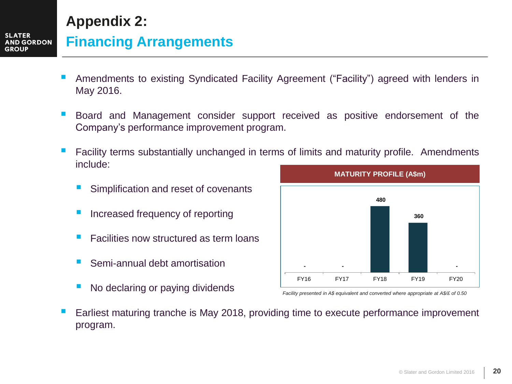# **Appendix 2:**

## **Financing Arrangements**

- Amendments to existing Syndicated Facility Agreement ("Facility") agreed with lenders in May 2016.
- Board and Management consider support received as positive endorsement of the Company's performance improvement program.
- Facility terms substantially unchanged in terms of limits and maturity profile. Amendments include:
	- Simplification and reset of covenants
	- Increased frequency of reporting
	- Facilities now structured as term loans
	- Semi-annual debt amortisation
	- No declaring or paying dividends



*Facility presented in A\$ equivalent and converted where appropriate at A\$/£ of 0.50*

 Earliest maturing tranche is May 2018, providing time to execute performance improvement program.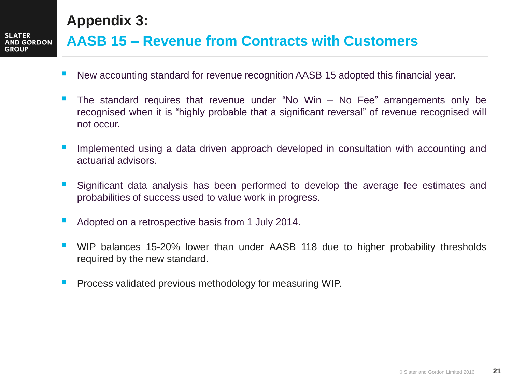**Appendix 3:**

# **AASB 15 – Revenue from Contracts with Customers**

- New accounting standard for revenue recognition AASB 15 adopted this financial year.
- The standard requires that revenue under "No Win No Fee" arrangements only be recognised when it is "highly probable that a significant reversal" of revenue recognised will not occur.
- Implemented using a data driven approach developed in consultation with accounting and actuarial advisors.
- Significant data analysis has been performed to develop the average fee estimates and probabilities of success used to value work in progress.
- Adopted on a retrospective basis from 1 July 2014.
- WIP balances 15-20% lower than under AASB 118 due to higher probability thresholds required by the new standard.
- Process validated previous methodology for measuring WIP.